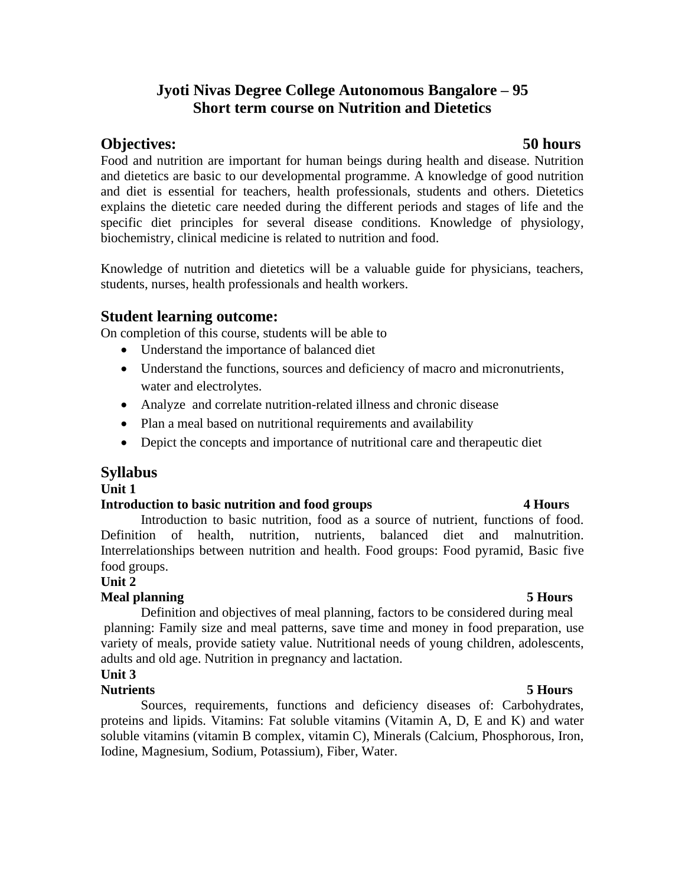# **Jyoti Nivas Degree College Autonomous Bangalore – 95 Short term course on Nutrition and Dietetics**

# **Objectives: 50 hours**

Food and nutrition are important for human beings during health and disease. Nutrition and dietetics are basic to our developmental programme. A knowledge of good nutrition and diet is essential for teachers, health professionals, students and others. Dietetics explains the dietetic care needed during the different periods and stages of life and the specific diet principles for several disease conditions. Knowledge of physiology, biochemistry, clinical medicine is related to nutrition and food.

Knowledge of nutrition and dietetics will be a valuable guide for physicians, teachers, students, nurses, health professionals and health workers.

# **Student learning outcome:**

On completion of this course, students will be able to

- Understand the importance of balanced diet
- Understand the functions, sources and deficiency of macro and micronutrients, water and electrolytes.
- Analyze and correlate nutrition-related illness and chronic disease
- Plan a meal based on nutritional requirements and availability
- Depict the concepts and importance of nutritional care and therapeutic diet

# **Syllabus**

**Unit 1** 

## **Introduction to basic nutrition and food groups 4 Hours**

Introduction to basic nutrition, food as a source of nutrient, functions of food. Definition of health, nutrition, nutrients, balanced diet and malnutrition. Interrelationships between nutrition and health. Food groups: Food pyramid, Basic five food groups.

## **Unit 2**

## **Meal planning 5 Hours**

Definition and objectives of meal planning, factors to be considered during meal planning: Family size and meal patterns, save time and money in food preparation, use variety of meals, provide satiety value. Nutritional needs of young children, adolescents, adults and old age. Nutrition in pregnancy and lactation.

## **Unit 3**

## **Nutrients 5 Hours**

Sources, requirements, functions and deficiency diseases of: Carbohydrates, proteins and lipids. Vitamins: Fat soluble vitamins (Vitamin A, D, E and K) and water soluble vitamins (vitamin B complex, vitamin C), Minerals (Calcium, Phosphorous, Iron, Iodine, Magnesium, Sodium, Potassium), Fiber, Water.